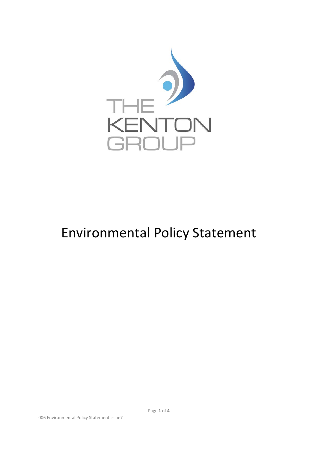

## Environmental Policy Statement

Page **1** of **4**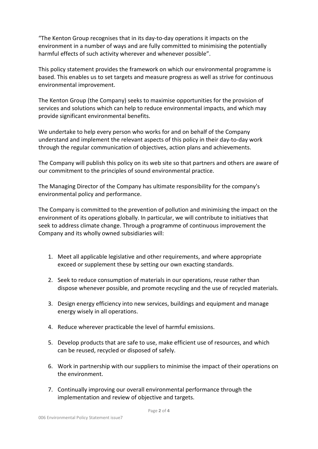"The Kenton Group recognises that in its day-to-day operations it impacts on the environment in a number of ways and are fully committed to minimising the potentially harmful effects of such activity wherever and whenever possible".

This policy statement provides the framework on which our environmental programme is based. This enables us to set targets and measure progress as well as strive for continuous environmental improvement.

The Kenton Group (the Company) seeks to maximise opportunities for the provision of services and solutions which can help to reduce environmental impacts, and which may provide significant environmental benefits.

We undertake to help every person who works for and on behalf of the Company understand and implement the relevant aspects of this policy in their day-to-day work through the regular communication of objectives, action plans and achievements.

The Company will publish this policy on its web site so that partners and others are aware of our commitment to the principles of sound environmental practice.

The Managing Director of the Company has ultimate responsibility for the company's environmental policy and performance.

The Company is committed to the prevention of pollution and minimising the impact on the environment of its operations globally. In particular, we will contribute to initiatives that seek to address climate change. Through a programme of continuous improvement the Company and its wholly owned subsidiaries will:

- 1. Meet all applicable legislative and other requirements, and where appropriate exceed or supplement these by setting our own exacting standards.
- 2. Seek to reduce consumption of materials in our operations, reuse rather than dispose whenever possible, and promote recycling and the use of recycled materials.
- 3. Design energy efficiency into new services, buildings and equipment and manage energy wisely in all operations.
- 4. Reduce wherever practicable the level of harmful emissions.
- 5. Develop products that are safe to use, make efficient use of resources, and which can be reused, recycled or disposed of safely.
- 6. Work in partnership with our suppliers to minimise the impact of their operations on the environment.
- 7. Continually improving our overall environmental performance through the implementation and review of objective and targets.